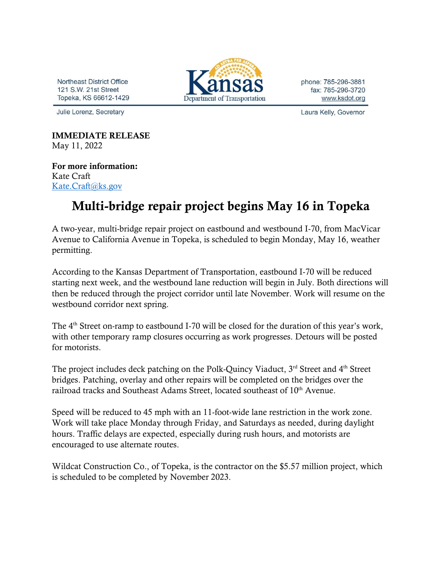Northeast District Office 121 S.W. 21st Street Topeka, KS 66612-1429

Julie Lorenz, Secretary

Department of Transportation

phone: 785-296-3881 fax: 785-296-3720 www.ksdot.org

Laura Kelly, Governor

IMMEDIATE RELEASE May 11, 2022

For more information: Kate Craft [Kate.Craft@ks.gov](mailto:Kate.Craft@ks.gov)

## Multi-bridge repair project begins May 16 in Topeka

A two-year, multi-bridge repair project on eastbound and westbound I-70, from MacVicar Avenue to California Avenue in Topeka, is scheduled to begin Monday, May 16, weather permitting.

According to the Kansas Department of Transportation, eastbound I-70 will be reduced starting next week, and the westbound lane reduction will begin in July. Both directions will then be reduced through the project corridor until late November. Work will resume on the westbound corridor next spring.

The 4<sup>th</sup> Street on-ramp to eastbound I-70 will be closed for the duration of this year's work, with other temporary ramp closures occurring as work progresses. Detours will be posted for motorists.

The project includes deck patching on the Polk-Quincy Viaduct, 3<sup>rd</sup> Street and 4<sup>th</sup> Street bridges. Patching, overlay and other repairs will be completed on the bridges over the railroad tracks and Southeast Adams Street, located southeast of 10<sup>th</sup> Avenue.

Speed will be reduced to 45 mph with an 11-foot-wide lane restriction in the work zone. Work will take place Monday through Friday, and Saturdays as needed, during daylight hours. Traffic delays are expected, especially during rush hours, and motorists are encouraged to use alternate routes.

Wildcat Construction Co., of Topeka, is the contractor on the \$5.57 million project, which is scheduled to be completed by November 2023.